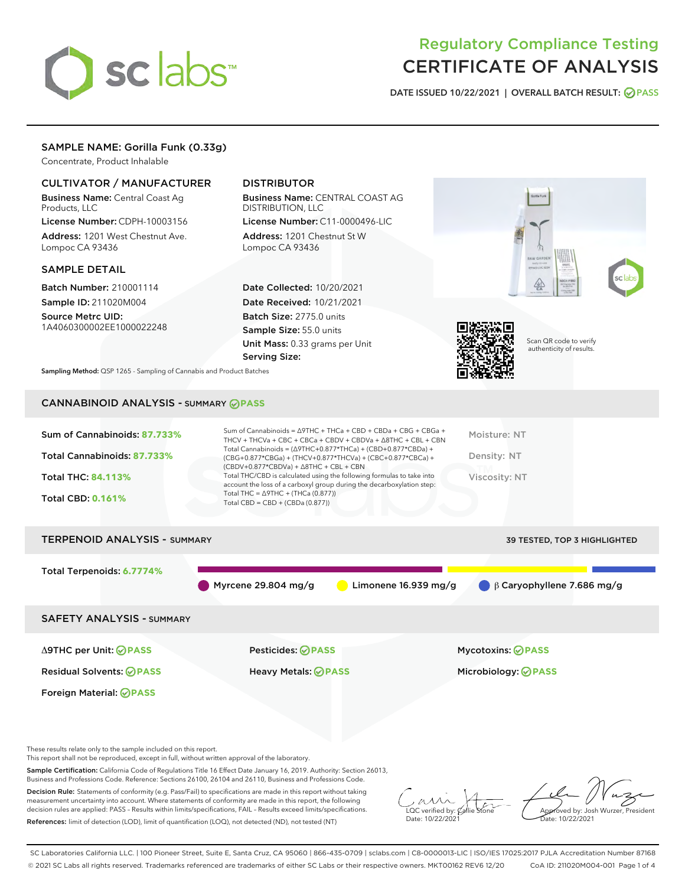

# Regulatory Compliance Testing CERTIFICATE OF ANALYSIS

DATE ISSUED 10/22/2021 | OVERALL BATCH RESULT: @ PASS

# SAMPLE NAME: Gorilla Funk (0.33g)

Concentrate, Product Inhalable

# CULTIVATOR / MANUFACTURER

Business Name: Central Coast Ag Products, LLC

License Number: CDPH-10003156 Address: 1201 West Chestnut Ave. Lompoc CA 93436

## SAMPLE DETAIL

Batch Number: 210001114 Sample ID: 211020M004

Source Metrc UID: 1A4060300002EE1000022248

# DISTRIBUTOR

Business Name: CENTRAL COAST AG DISTRIBUTION, LLC License Number: C11-0000496-LIC

Address: 1201 Chestnut St W Lompoc CA 93436

Date Collected: 10/20/2021 Date Received: 10/21/2021 Batch Size: 2775.0 units Sample Size: 55.0 units Unit Mass: 0.33 grams per Unit Serving Size:





Scan QR code to verify authenticity of results.

Sampling Method: QSP 1265 - Sampling of Cannabis and Product Batches

# CANNABINOID ANALYSIS - SUMMARY **PASS**

| Total Cannabinoids: 87.733%<br>Density: NT<br>(CBG+0.877*CBGa) + (THCV+0.877*THCVa) + (CBC+0.877*CBCa) +<br>$(CBDV+0.877*CBDVa) + \Delta 8THC + CBL + CBN$<br>Total THC/CBD is calculated using the following formulas to take into<br><b>Total THC: 84.113%</b><br>Viscosity: NT<br>account the loss of a carboxyl group during the decarboxylation step:<br>Total THC = $\triangle$ 9THC + (THCa (0.877))<br><b>Total CBD: 0.161%</b><br>Total CBD = $CBD + (CBDa (0.877))$ | Sum of Cannabinoids: 87.733% | Sum of Cannabinoids = $\triangle$ 9THC + THCa + CBD + CBDa + CBG + CBGa +<br>THCV + THCVa + CBC + CBCa + CBDV + CBDVa + $\Delta$ 8THC + CBL + CBN | Moisture: NT |
|-------------------------------------------------------------------------------------------------------------------------------------------------------------------------------------------------------------------------------------------------------------------------------------------------------------------------------------------------------------------------------------------------------------------------------------------------------------------------------|------------------------------|---------------------------------------------------------------------------------------------------------------------------------------------------|--------------|
|                                                                                                                                                                                                                                                                                                                                                                                                                                                                               |                              | Total Cannabinoids = $(\Delta$ 9THC+0.877*THCa) + (CBD+0.877*CBDa) +                                                                              |              |
|                                                                                                                                                                                                                                                                                                                                                                                                                                                                               |                              |                                                                                                                                                   |              |
|                                                                                                                                                                                                                                                                                                                                                                                                                                                                               |                              |                                                                                                                                                   |              |

# TERPENOID ANALYSIS - SUMMARY 39 TESTED, TOP 3 HIGHLIGHTED Total Terpenoids: **6.7774%** Myrcene 29.804 mg/g  $\bigcirc$  Limonene 16.939 mg/g  $\bigcirc$  β Caryophyllene 7.686 mg/g SAFETY ANALYSIS - SUMMARY

Foreign Material: **PASS**

Δ9THC per Unit: **PASS** Pesticides: **PASS** Mycotoxins: **PASS**

Residual Solvents: **PASS** Heavy Metals: **PASS** Microbiology: **PASS**

These results relate only to the sample included on this report.

This report shall not be reproduced, except in full, without written approval of the laboratory.

Sample Certification: California Code of Regulations Title 16 Effect Date January 16, 2019. Authority: Section 26013, Business and Professions Code. Reference: Sections 26100, 26104 and 26110, Business and Professions Code.

Decision Rule: Statements of conformity (e.g. Pass/Fail) to specifications are made in this report without taking measurement uncertainty into account. Where statements of conformity are made in this report, the following decision rules are applied: PASS – Results within limits/specifications, FAIL – Results exceed limits/specifications. References: limit of detection (LOD), limit of quantification (LOQ), not detected (ND), not tested (NT)

 $\overline{\text{C}}$  verified by:  $\ell$ Date: 10/22/2021

Aved by: Josh Wurzer, President Date: 10/22/2021

SC Laboratories California LLC. | 100 Pioneer Street, Suite E, Santa Cruz, CA 95060 | 866-435-0709 | sclabs.com | C8-0000013-LIC | ISO/IES 17025:2017 PJLA Accreditation Number 87168 © 2021 SC Labs all rights reserved. Trademarks referenced are trademarks of either SC Labs or their respective owners. MKT00162 REV6 12/20 CoA ID: 211020M004-001 Page 1 of 4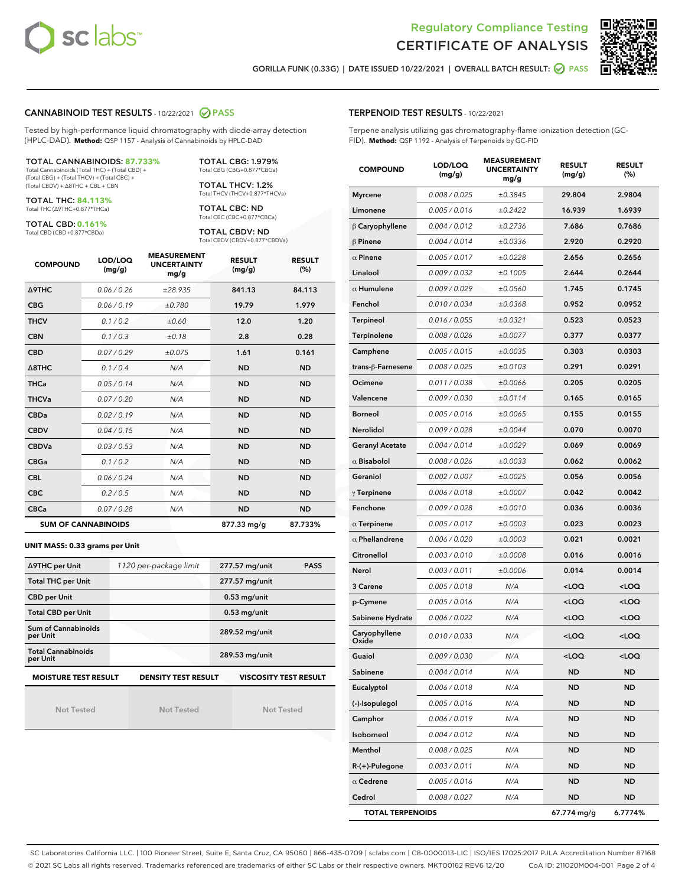



GORILLA FUNK (0.33G) | DATE ISSUED 10/22/2021 | OVERALL BATCH RESULT: 2 PASS

### CANNABINOID TEST RESULTS - 10/22/2021 2 PASS

Tested by high-performance liquid chromatography with diode-array detection (HPLC-DAD). **Method:** QSP 1157 - Analysis of Cannabinoids by HPLC-DAD

#### TOTAL CANNABINOIDS: **87.733%**

Total Cannabinoids (Total THC) + (Total CBD) + (Total CBG) + (Total THCV) + (Total CBC) + (Total CBDV) + ∆8THC + CBL + CBN

TOTAL THC: **84.113%** Total THC (∆9THC+0.877\*THCa)

TOTAL CBD: **0.161%**

Total CBD (CBD+0.877\*CBDa)

TOTAL CBG: 1.979% Total CBG (CBG+0.877\*CBGa)

TOTAL THCV: 1.2% Total THCV (THCV+0.877\*THCVa)

TOTAL CBC: ND Total CBC (CBC+0.877\*CBCa)

TOTAL CBDV: ND Total CBDV (CBDV+0.877\*CBDVa)

| <b>COMPOUND</b>  | LOD/LOQ<br>(mg/g)          | <b>MEASUREMENT</b><br><b>UNCERTAINTY</b><br>mg/g | <b>RESULT</b><br>(mg/g) | <b>RESULT</b><br>(%) |
|------------------|----------------------------|--------------------------------------------------|-------------------------|----------------------|
| <b>A9THC</b>     | 0.06 / 0.26                | ±28.935                                          | 841.13                  | 84.113               |
| <b>CBG</b>       | 0.06/0.19                  | ±0.780                                           | 19.79                   | 1.979                |
| <b>THCV</b>      | 0.1/0.2                    | ±0.60                                            | 12.0                    | 1.20                 |
| <b>CBN</b>       | 0.1/0.3                    | ±0.18                                            | 2.8                     | 0.28                 |
| <b>CBD</b>       | 0.07/0.29                  | ±0.075                                           | 1.61                    | 0.161                |
| $\triangle$ 8THC | 0.1 / 0.4                  | N/A                                              | <b>ND</b>               | <b>ND</b>            |
| <b>THCa</b>      | 0.05/0.14                  | N/A                                              | <b>ND</b>               | <b>ND</b>            |
| <b>THCVa</b>     | 0.07/0.20                  | N/A                                              | <b>ND</b>               | <b>ND</b>            |
| <b>CBDa</b>      | 0.02/0.19                  | N/A                                              | <b>ND</b>               | <b>ND</b>            |
| <b>CBDV</b>      | 0.04 / 0.15                | N/A                                              | <b>ND</b>               | <b>ND</b>            |
| <b>CBDVa</b>     | 0.03/0.53                  | N/A                                              | <b>ND</b>               | <b>ND</b>            |
| <b>CBGa</b>      | 0.1 / 0.2                  | N/A                                              | <b>ND</b>               | <b>ND</b>            |
| <b>CBL</b>       | 0.06 / 0.24                | N/A                                              | <b>ND</b>               | <b>ND</b>            |
| <b>CBC</b>       | 0.2 / 0.5                  | N/A                                              | <b>ND</b>               | <b>ND</b>            |
| <b>CBCa</b>      | 0.07 / 0.28                | N/A                                              | <b>ND</b>               | <b>ND</b>            |
|                  | <b>SUM OF CANNABINOIDS</b> |                                                  | 877.33 mg/g             | 87.733%              |

#### **UNIT MASS: 0.33 grams per Unit**

| ∆9THC per Unit                        | 1120 per-package limit                                                                    | 277.57 mg/unit<br><b>PASS</b> |  |  |  |  |
|---------------------------------------|-------------------------------------------------------------------------------------------|-------------------------------|--|--|--|--|
| <b>Total THC per Unit</b>             |                                                                                           | 277.57 mg/unit                |  |  |  |  |
| <b>CBD per Unit</b>                   |                                                                                           | $0.53$ mg/unit                |  |  |  |  |
| <b>Total CBD per Unit</b>             |                                                                                           | $0.53$ mg/unit                |  |  |  |  |
| Sum of Cannabinoids<br>per Unit       |                                                                                           | 289.52 mg/unit                |  |  |  |  |
| <b>Total Cannabinoids</b><br>per Unit |                                                                                           | 289.53 mg/unit                |  |  |  |  |
|                                       | <b>MOISTURE TEST RESULT</b><br><b>VISCOSITY TEST RESULT</b><br><b>DENSITY TEST RESULT</b> |                               |  |  |  |  |

Not Tested

Not Tested

Not Tested

| <b>TERPENOID TEST RESULTS - 10/22/2021</b> |  |  |  |
|--------------------------------------------|--|--|--|
|--------------------------------------------|--|--|--|

Terpene analysis utilizing gas chromatography-flame ionization detection (GC-FID). **Method:** QSP 1192 - Analysis of Terpenoids by GC-FID

| <b>COMPOUND</b>         | LOD/LOQ<br>(mg/g) | <b>MEASUREMENT</b><br><b>UNCERTAINTY</b><br>mg/g | <b>RESULT</b><br>(mg/g)                          | <b>RESULT</b><br>(%) |
|-------------------------|-------------------|--------------------------------------------------|--------------------------------------------------|----------------------|
| <b>Myrcene</b>          | 0.008 / 0.025     | ±0.3845                                          | 29.804                                           | 2.9804               |
| Limonene                | 0.005 / 0.016     | ±0.2422                                          | 16.939                                           | 1.6939               |
| $\beta$ Caryophyllene   | 0.004 / 0.012     | ±0.2736                                          | 7.686                                            | 0.7686               |
| $\beta$ Pinene          | 0.004 / 0.014     | ±0.0336                                          | 2.920                                            | 0.2920               |
| $\alpha$ Pinene         | 0.005 / 0.017     | ±0.0228                                          | 2.656                                            | 0.2656               |
| Linalool                | 0.009 / 0.032     | ±0.1005                                          | 2.644                                            | 0.2644               |
| $\alpha$ Humulene       | 0.009 / 0.029     | ±0.0560                                          | 1.745                                            | 0.1745               |
| Fenchol                 | 0.010 / 0.034     | ±0.0368                                          | 0.952                                            | 0.0952               |
| Terpineol               | 0.016 / 0.055     | ±0.0321                                          | 0.523                                            | 0.0523               |
| Terpinolene             | 0.008 / 0.026     | ±0.0077                                          | 0.377                                            | 0.0377               |
| Camphene                | 0.005 / 0.015     | ±0.0035                                          | 0.303                                            | 0.0303               |
| trans-ß-Farnesene       | 0.008 / 0.025     | ±0.0103                                          | 0.291                                            | 0.0291               |
| Ocimene                 | 0.011 / 0.038     | ±0.0066                                          | 0.205                                            | 0.0205               |
| Valencene               | 0.009 / 0.030     | ±0.0114                                          | 0.165                                            | 0.0165               |
| <b>Borneol</b>          | 0.005 / 0.016     | ±0.0065                                          | 0.155                                            | 0.0155               |
| <b>Nerolidol</b>        | 0.009 / 0.028     | ±0.0044                                          | 0.070                                            | 0.0070               |
| <b>Geranyl Acetate</b>  | 0.004 / 0.014     | ±0.0029                                          | 0.069                                            | 0.0069               |
| $\alpha$ Bisabolol      | 0.008 / 0.026     | ±0.0033                                          | 0.062                                            | 0.0062               |
| Geraniol                | 0.002 / 0.007     | ±0.0025                                          | 0.056                                            | 0.0056               |
| $\gamma$ Terpinene      | 0.006 / 0.018     | ±0.0007                                          | 0.042                                            | 0.0042               |
| Fenchone                | 0.009 / 0.028     | ±0.0010                                          | 0.036                                            | 0.0036               |
| $\alpha$ Terpinene      | 0.005 / 0.017     | ±0.0003                                          | 0.023                                            | 0.0023               |
| $\alpha$ Phellandrene   | 0.006 / 0.020     | ±0.0003                                          | 0.021                                            | 0.0021               |
| Citronellol             | 0.003 / 0.010     | ±0.0008                                          | 0.016                                            | 0.0016               |
| Nerol                   | 0.003 / 0.011     | ±0.0006                                          | 0.014                                            | 0.0014               |
| 3 Carene                | 0.005 / 0.018     | N/A                                              | <loq< th=""><th><math>&lt;</math>LOQ</th></loq<> | $<$ LOQ              |
| p-Cymene                | 0.005 / 0.016     | N/A                                              | <loq< th=""><th><loq< th=""></loq<></th></loq<>  | <loq< th=""></loq<>  |
| Sabinene Hydrate        | 0.006 / 0.022     | N/A                                              | <loq< th=""><th><loq< th=""></loq<></th></loq<>  | <loq< th=""></loq<>  |
| Caryophyllene<br>Oxide  | 0.010 / 0.033     | N/A                                              | <loq< th=""><th><loq< th=""></loq<></th></loq<>  | <loq< th=""></loq<>  |
| Guaiol                  | 0.009 / 0.030     | N/A                                              | <loq< th=""><th><loq< th=""></loq<></th></loq<>  | <loq< th=""></loq<>  |
| Sabinene                | 0.004 / 0.014     | N/A                                              | ND                                               | ND                   |
| Eucalyptol              | 0.006 / 0.018     | N/A                                              | <b>ND</b>                                        | <b>ND</b>            |
| (-)-Isopulegol          | 0.005 / 0.016     | N/A                                              | <b>ND</b>                                        | <b>ND</b>            |
| Camphor                 | 0.006 / 0.019     | N/A                                              | ND                                               | ND                   |
| Isoborneol              | 0.004 / 0.012     | N/A                                              | ND                                               | ND                   |
| Menthol                 | 0.008 / 0.025     | N/A                                              | <b>ND</b>                                        | <b>ND</b>            |
| $R-(+)$ -Pulegone       | 0.003 / 0.011     | N/A                                              | ND                                               | ND                   |
| $\alpha$ Cedrene        | 0.005 / 0.016     | N/A                                              | ND                                               | <b>ND</b>            |
| Cedrol                  | 0.008 / 0.027     | N/A                                              | <b>ND</b>                                        | <b>ND</b>            |
| <b>TOTAL TERPENOIDS</b> |                   |                                                  | 67.774 mg/g                                      | 6.7774%              |

SC Laboratories California LLC. | 100 Pioneer Street, Suite E, Santa Cruz, CA 95060 | 866-435-0709 | sclabs.com | C8-0000013-LIC | ISO/IES 17025:2017 PJLA Accreditation Number 87168 © 2021 SC Labs all rights reserved. Trademarks referenced are trademarks of either SC Labs or their respective owners. MKT00162 REV6 12/20 CoA ID: 211020M004-001 Page 2 of 4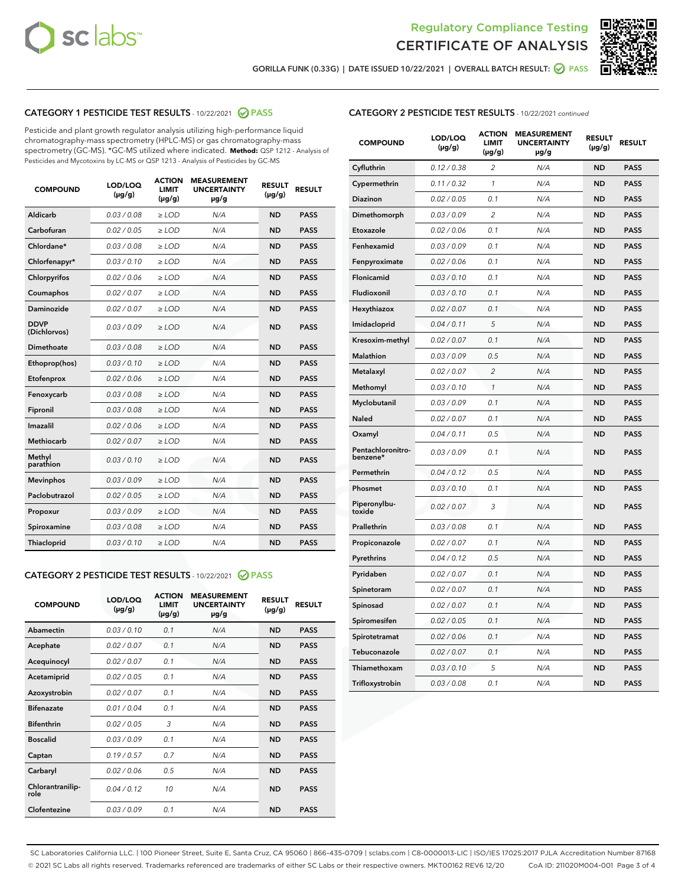



GORILLA FUNK (0.33G) | DATE ISSUED 10/22/2021 | OVERALL BATCH RESULT: @ PASS

# CATEGORY 1 PESTICIDE TEST RESULTS - 10/22/2021 2 PASS

Pesticide and plant growth regulator analysis utilizing high-performance liquid chromatography-mass spectrometry (HPLC-MS) or gas chromatography-mass spectrometry (GC-MS). \*GC-MS utilized where indicated. **Method:** QSP 1212 - Analysis of Pesticides and Mycotoxins by LC-MS or QSP 1213 - Analysis of Pesticides by GC-MS

| <b>COMPOUND</b>             | LOD/LOQ<br>$(\mu g/g)$ | <b>ACTION</b><br><b>LIMIT</b><br>$(\mu q/q)$ | <b>MEASUREMENT</b><br><b>UNCERTAINTY</b><br>$\mu$ g/g | <b>RESULT</b><br>$(\mu g/g)$ | <b>RESULT</b> |
|-----------------------------|------------------------|----------------------------------------------|-------------------------------------------------------|------------------------------|---------------|
| Aldicarb                    | 0.03 / 0.08            | $\ge$ LOD                                    | N/A                                                   | <b>ND</b>                    | <b>PASS</b>   |
| Carbofuran                  | 0.02 / 0.05            | $\ge$ LOD                                    | N/A                                                   | <b>ND</b>                    | <b>PASS</b>   |
| Chlordane*                  | 0.03 / 0.08            | $\ge$ LOD                                    | N/A                                                   | <b>ND</b>                    | <b>PASS</b>   |
| Chlorfenapyr*               | 0.03/0.10              | $\ge$ LOD                                    | N/A                                                   | <b>ND</b>                    | <b>PASS</b>   |
| Chlorpyrifos                | 0.02 / 0.06            | $\ge$ LOD                                    | N/A                                                   | <b>ND</b>                    | <b>PASS</b>   |
| Coumaphos                   | 0.02 / 0.07            | $\ge$ LOD                                    | N/A                                                   | <b>ND</b>                    | <b>PASS</b>   |
| Daminozide                  | 0.02 / 0.07            | $\ge$ LOD                                    | N/A                                                   | <b>ND</b>                    | <b>PASS</b>   |
| <b>DDVP</b><br>(Dichlorvos) | 0.03/0.09              | $>$ LOD                                      | N/A                                                   | <b>ND</b>                    | <b>PASS</b>   |
| Dimethoate                  | 0.03 / 0.08            | $\ge$ LOD                                    | N/A                                                   | <b>ND</b>                    | <b>PASS</b>   |
| Ethoprop(hos)               | 0.03/0.10              | $\ge$ LOD                                    | N/A                                                   | <b>ND</b>                    | <b>PASS</b>   |
| Etofenprox                  | 0.02/0.06              | $>$ LOD                                      | N/A                                                   | <b>ND</b>                    | <b>PASS</b>   |
| Fenoxycarb                  | 0.03 / 0.08            | $\ge$ LOD                                    | N/A                                                   | <b>ND</b>                    | <b>PASS</b>   |
| Fipronil                    | 0.03/0.08              | $>$ LOD                                      | N/A                                                   | <b>ND</b>                    | <b>PASS</b>   |
| Imazalil                    | 0.02 / 0.06            | $\ge$ LOD                                    | N/A                                                   | <b>ND</b>                    | <b>PASS</b>   |
| Methiocarb                  | 0.02 / 0.07            | $\ge$ LOD                                    | N/A                                                   | <b>ND</b>                    | <b>PASS</b>   |
| Methyl<br>parathion         | 0.03/0.10              | $>$ LOD                                      | N/A                                                   | <b>ND</b>                    | <b>PASS</b>   |
| <b>Mevinphos</b>            | 0.03/0.09              | $>$ LOD                                      | N/A                                                   | <b>ND</b>                    | <b>PASS</b>   |
| Paclobutrazol               | 0.02 / 0.05            | $\ge$ LOD                                    | N/A                                                   | <b>ND</b>                    | <b>PASS</b>   |
| Propoxur                    | 0.03 / 0.09            | $\ge$ LOD                                    | N/A                                                   | <b>ND</b>                    | <b>PASS</b>   |
| Spiroxamine                 | 0.03 / 0.08            | $\ge$ LOD                                    | N/A                                                   | <b>ND</b>                    | <b>PASS</b>   |
| Thiacloprid                 | 0.03/0.10              | $\ge$ LOD                                    | N/A                                                   | <b>ND</b>                    | <b>PASS</b>   |
|                             |                        |                                              |                                                       |                              |               |

#### CATEGORY 2 PESTICIDE TEST RESULTS - 10/22/2021 @ PASS

| <b>COMPOUND</b>          | LOD/LOO<br>$(\mu g/g)$ | <b>ACTION</b><br>LIMIT<br>$(\mu g/g)$ | <b>MEASUREMENT</b><br><b>UNCERTAINTY</b><br>$\mu$ g/g | <b>RESULT</b><br>$(\mu g/g)$ | <b>RESULT</b> |
|--------------------------|------------------------|---------------------------------------|-------------------------------------------------------|------------------------------|---------------|
| Abamectin                | 0.03/0.10              | 0.1                                   | N/A                                                   | <b>ND</b>                    | <b>PASS</b>   |
| Acephate                 | 0.02/0.07              | 0.1                                   | N/A                                                   | <b>ND</b>                    | <b>PASS</b>   |
| Acequinocyl              | 0.02/0.07              | 0.1                                   | N/A                                                   | <b>ND</b>                    | <b>PASS</b>   |
| Acetamiprid              | 0.02/0.05              | 0.1                                   | N/A                                                   | <b>ND</b>                    | <b>PASS</b>   |
| Azoxystrobin             | 0.02/0.07              | 0.1                                   | N/A                                                   | <b>ND</b>                    | <b>PASS</b>   |
| <b>Bifenazate</b>        | 0.01/0.04              | 0.1                                   | N/A                                                   | <b>ND</b>                    | <b>PASS</b>   |
| <b>Bifenthrin</b>        | 0.02 / 0.05            | 3                                     | N/A                                                   | <b>ND</b>                    | <b>PASS</b>   |
| <b>Boscalid</b>          | 0.03/0.09              | 0.1                                   | N/A                                                   | <b>ND</b>                    | <b>PASS</b>   |
| Captan                   | 0.19/0.57              | 0.7                                   | N/A                                                   | <b>ND</b>                    | <b>PASS</b>   |
| Carbaryl                 | 0.02/0.06              | 0.5                                   | N/A                                                   | <b>ND</b>                    | <b>PASS</b>   |
| Chlorantranilip-<br>role | 0.04/0.12              | 10                                    | N/A                                                   | <b>ND</b>                    | <b>PASS</b>   |
| Clofentezine             | 0.03/0.09              | 0.1                                   | N/A                                                   | <b>ND</b>                    | <b>PASS</b>   |

# CATEGORY 2 PESTICIDE TEST RESULTS - 10/22/2021 continued

| <b>COMPOUND</b>               | LOD/LOQ<br>(µg/g) | <b>ACTION</b><br><b>LIMIT</b><br>(µg/g) | <b>MEASUREMENT</b><br><b>UNCERTAINTY</b><br>µg/g | <b>RESULT</b><br>(µg/g) | <b>RESULT</b> |
|-------------------------------|-------------------|-----------------------------------------|--------------------------------------------------|-------------------------|---------------|
| Cyfluthrin                    | 0.12 / 0.38       | $\overline{c}$                          | N/A                                              | <b>ND</b>               | <b>PASS</b>   |
| Cypermethrin                  | 0.11 / 0.32       | 1                                       | N/A                                              | <b>ND</b>               | <b>PASS</b>   |
| Diazinon                      | 0.02 / 0.05       | 0.1                                     | N/A                                              | <b>ND</b>               | <b>PASS</b>   |
| Dimethomorph                  | 0.03 / 0.09       | 2                                       | N/A                                              | ND                      | <b>PASS</b>   |
| Etoxazole                     | 0.02 / 0.06       | 0.1                                     | N/A                                              | <b>ND</b>               | <b>PASS</b>   |
| Fenhexamid                    | 0.03 / 0.09       | 0.1                                     | N/A                                              | ND                      | <b>PASS</b>   |
| Fenpyroximate                 | 0.02 / 0.06       | 0.1                                     | N/A                                              | <b>ND</b>               | <b>PASS</b>   |
| Flonicamid                    | 0.03 / 0.10       | 0.1                                     | N/A                                              | ND                      | <b>PASS</b>   |
| Fludioxonil                   | 0.03 / 0.10       | 0.1                                     | N/A                                              | <b>ND</b>               | <b>PASS</b>   |
| Hexythiazox                   | 0.02 / 0.07       | 0.1                                     | N/A                                              | ND                      | <b>PASS</b>   |
| Imidacloprid                  | 0.04 / 0.11       | 5                                       | N/A                                              | ND                      | <b>PASS</b>   |
| Kresoxim-methyl               | 0.02 / 0.07       | 0.1                                     | N/A                                              | <b>ND</b>               | <b>PASS</b>   |
| <b>Malathion</b>              | 0.03 / 0.09       | 0.5                                     | N/A                                              | ND                      | <b>PASS</b>   |
| Metalaxyl                     | 0.02 / 0.07       | $\overline{c}$                          | N/A                                              | ND                      | <b>PASS</b>   |
| Methomyl                      | 0.03 / 0.10       | 1                                       | N/A                                              | <b>ND</b>               | <b>PASS</b>   |
| Myclobutanil                  | 0.03 / 0.09       | 0.1                                     | N/A                                              | ND                      | <b>PASS</b>   |
| Naled                         | 0.02 / 0.07       | 0.1                                     | N/A                                              | ND                      | <b>PASS</b>   |
| Oxamyl                        | 0.04 / 0.11       | 0.5                                     | N/A                                              | ND                      | <b>PASS</b>   |
| Pentachloronitro-<br>benzene* | 0.03 / 0.09       | 0.1                                     | N/A                                              | ND                      | <b>PASS</b>   |
| Permethrin                    | 0.04 / 0.12       | 0.5                                     | N/A                                              | <b>ND</b>               | <b>PASS</b>   |
| Phosmet                       | 0.03/0.10         | 0.1                                     | N/A                                              | ND                      | <b>PASS</b>   |
| Piperonylbu-<br>toxide        | 0.02 / 0.07       | 3                                       | N/A                                              | ND                      | <b>PASS</b>   |
| Prallethrin                   | 0.03 / 0.08       | 0.1                                     | N/A                                              | <b>ND</b>               | <b>PASS</b>   |
| Propiconazole                 | 0.02 / 0.07       | 0.1                                     | N/A                                              | ND                      | <b>PASS</b>   |
| Pyrethrins                    | 0.04 / 0.12       | 0.5                                     | N/A                                              | ND                      | <b>PASS</b>   |
| Pyridaben                     | 0.02 / 0.07       | 0.1                                     | N/A                                              | ND                      | <b>PASS</b>   |
| Spinetoram                    | 0.02 / 0.07       | 0.1                                     | N/A                                              | ND                      | <b>PASS</b>   |
| Spinosad                      | 0.02 / 0.07       | 0.1                                     | N/A                                              | ND                      | <b>PASS</b>   |
| Spiromesifen                  | 0.02 / 0.05       | 0.1                                     | N/A                                              | ND                      | <b>PASS</b>   |
| Spirotetramat                 | 0.02 / 0.06       | 0.1                                     | N/A                                              | ND                      | <b>PASS</b>   |
| Tebuconazole                  | 0.02 / 0.07       | 0.1                                     | N/A                                              | ND                      | <b>PASS</b>   |
| Thiamethoxam                  | 0.03 / 0.10       | 5                                       | N/A                                              | ND                      | <b>PASS</b>   |
| Trifloxystrobin               | 0.03 / 0.08       | 0.1                                     | N/A                                              | <b>ND</b>               | <b>PASS</b>   |

SC Laboratories California LLC. | 100 Pioneer Street, Suite E, Santa Cruz, CA 95060 | 866-435-0709 | sclabs.com | C8-0000013-LIC | ISO/IES 17025:2017 PJLA Accreditation Number 87168 © 2021 SC Labs all rights reserved. Trademarks referenced are trademarks of either SC Labs or their respective owners. MKT00162 REV6 12/20 CoA ID: 211020M004-001 Page 3 of 4